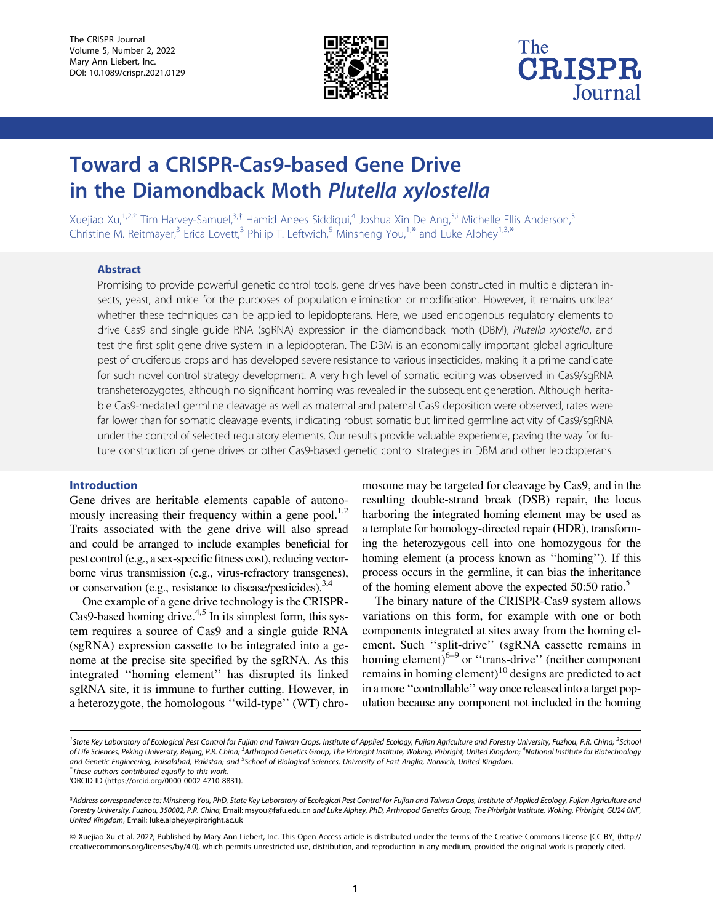

## The **CRISPR** Journal

# Toward a CRISPR-Cas9-based Gene Drive in the Diamondback Moth Plutella xylostella

Xuejiao Xu,<sup>1,2,†</sup> Tim Harvey-Samuel,<sup>3,†</sup> Hamid Anees Siddiqui,<sup>4</sup> Joshua Xin De Ang,<sup>3,i</sup> Michelle Ellis Anderson,<sup>3</sup> Christine M. Reitmayer,<sup>3</sup> Erica Lovett,<sup>3</sup> Philip T. Leftwich,<sup>5</sup> Minsheng You,<sup>1,\*</sup> and Luke Alphey<sup>1,3,\*</sup>

#### Abstract

Promising to provide powerful genetic control tools, gene drives have been constructed in multiple dipteran insects, yeast, and mice for the purposes of population elimination or modification. However, it remains unclear whether these techniques can be applied to lepidopterans. Here, we used endogenous regulatory elements to drive Cas9 and single guide RNA (sgRNA) expression in the diamondback moth (DBM), Plutella xylostella, and test the first split gene drive system in a lepidopteran. The DBM is an economically important global agriculture pest of cruciferous crops and has developed severe resistance to various insecticides, making it a prime candidate for such novel control strategy development. A very high level of somatic editing was observed in Cas9/sgRNA transheterozygotes, although no significant homing was revealed in the subsequent generation. Although heritable Cas9-medated germline cleavage as well as maternal and paternal Cas9 deposition were observed, rates were far lower than for somatic cleavage events, indicating robust somatic but limited germline activity of Cas9/sgRNA under the control of selected regulatory elements. Our results provide valuable experience, paving the way for future construction of gene drives or other Cas9-based genetic control strategies in DBM and other lepidopterans.

#### Introduction

Gene drives are heritable elements capable of autonomously increasing their frequency within a gene pool.<sup>1,2</sup> Traits associated with the gene drive will also spread and could be arranged to include examples beneficial for pest control (e.g., a sex-specific fitness cost), reducing vectorborne virus transmission (e.g., virus-refractory transgenes), or conservation (e.g., resistance to disease/pesticides).<sup>3,4</sup>

One example of a gene drive technology is the CRISPR-Cas9-based homing drive. $4.5$  In its simplest form, this system requires a source of Cas9 and a single guide RNA (sgRNA) expression cassette to be integrated into a genome at the precise site specified by the sgRNA. As this integrated ''homing element'' has disrupted its linked sgRNA site, it is immune to further cutting. However, in a heterozygote, the homologous ''wild-type'' (WT) chro-

mosome may be targeted for cleavage by Cas9, and in the resulting double-strand break (DSB) repair, the locus harboring the integrated homing element may be used as a template for homology-directed repair (HDR), transforming the heterozygous cell into one homozygous for the homing element (a process known as ''homing''). If this process occurs in the germline, it can bias the inheritance of the homing element above the expected  $50:50$  ratio.<sup>5</sup>

The binary nature of the CRISPR-Cas9 system allows variations on this form, for example with one or both components integrated at sites away from the homing element. Such ''split-drive'' (sgRNA cassette remains in homing element)<sup>6–9</sup> or "trans-drive" (neither component remains in homing element)<sup>10</sup> designs are predicted to act in a more ''controllable'' way once releasedinto a target population because any component not included in the homing

<sup>&</sup>lt;sup>1</sup>State Key Laboratory of Ecological Pest Control for Fujian and Taiwan Crops, Institute of Applied Ecology, Fujian Agriculture and Forestry University, Fuzhou, P.R. China; <sup>2</sup>School of Life Sciences, Peking University, Beijing, P.R. China; <sup>3</sup>Arthropod Genetics Group, The Pirbright Institute, Woking, Pirbright, United Kingdom; <sup>4</sup>National Institute for Biotechnology and Genetic Engineering, Faisalabad, Pakistan; and <sup>5</sup>School of Biological Sciences, University of East Anglia, Norwich, United Kingdom.<br><sup>†Thoco</sup> authers centributed aqually to this work  $^\dagger$ These authors contributed equally to this work.

i ORCID ID (https://orcid.org/0000-0002-4710-8831).

<sup>\*</sup>Address correspondence to: Minsheng You, PhD, State Key Laboratory of Ecological Pest Control for Fujian and Taiwan Crops, Institute of Applied Ecology, Fujian Agriculture and Forestry University, Fuzhou, 350002, P.R. China, Email: msyou@fafu.edu.cn and Luke Alphey, PhD, Arthropod Genetics Group, The Pirbright Institute, Woking, Pirbright, GU24 0NF, United Kingdom, Email: luke.alphey@pirbright.ac.uk

ª Xuejiao Xu et al. 2022; Published by Mary Ann Liebert, Inc. This Open Access article is distributed under the terms of the Creative Commons License [CC-BY] ([http://](http://creativecommons.org/licenses/by/4.0) [creativecommons.org/licenses/by/4.0](http://creativecommons.org/licenses/by/4.0)), which permits unrestricted use, distribution, and reproduction in any medium, provided the original work is properly cited.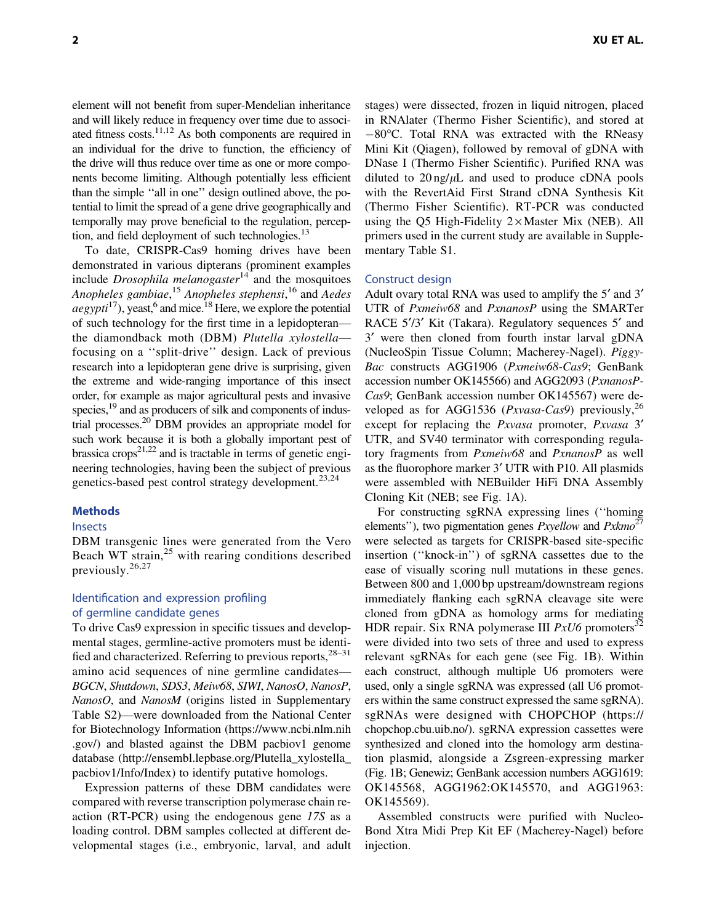element will not benefit from super-Mendelian inheritance and will likely reduce in frequency over time due to associated fitness costs. $11,12$  As both components are required in an individual for the drive to function, the efficiency of the drive will thus reduce over time as one or more components become limiting. Although potentially less efficient

than the simple ''all in one'' design outlined above, the potential to limit the spread of a gene drive geographically and temporally may prove beneficial to the regulation, perception, and field deployment of such technologies. $^{13}$ To date, CRISPR-Cas9 homing drives have been

demonstrated in various dipterans (prominent examples include *Drosophila melanogaster*<sup>14</sup> and the mosquitoes *Anopheles gambiae*, <sup>15</sup> *Anopheles stephensi*, <sup>16</sup> and *Aedes*  $aegypti^{17}$ , yeast,  $6$  and mice.<sup>18</sup> Here, we explore the potential of such technology for the first time in a lepidopteran the diamondback moth (DBM) *Plutella xylostella* focusing on a ''split-drive'' design. Lack of previous research into a lepidopteran gene drive is surprising, given the extreme and wide-ranging importance of this insect order, for example as major agricultural pests and invasive species,<sup>19</sup> and as producers of silk and components of industrial processes.20 DBM provides an appropriate model for such work because it is both a globally important pest of brassica crops<sup>21,22</sup> and is tractable in terms of genetic engineering technologies, having been the subject of previous genetics-based pest control strategy development.<sup>23,24</sup>

## **Methods**

## Insects

DBM transgenic lines were generated from the Vero Beach WT strain,<sup>25</sup> with rearing conditions described previously.26,27

## Identification and expression profiling of germline candidate genes

To drive Cas9 expression in specific tissues and developmental stages, germline-active promoters must be identified and characterized. Referring to previous reports,  $28-31$ amino acid sequences of nine germline candidates— *BGCN*, *Shutdown*, *SDS3*, *Meiw68*, *SIWI*, *NanosO*, *NanosP*, *NanosO*, and *NanosM* (origins listed in Supplementary Table S2)—were downloaded from the National Center for Biotechnology Information [\(https://www.ncbi.nlm.nih](https://www.ncbi.nlm.nih.gov/) [.gov/\)](https://www.ncbi.nlm.nih.gov/) and blasted against the DBM pacbiov1 genome database [\(http://ensembl.lepbase.org/Plutella\\_xylostella\\_](http://ensembl.lepbase.org/Plutella_xylostella_pacbiov1/Info/Index) [pacbiov1/Info/Index](http://ensembl.lepbase.org/Plutella_xylostella_pacbiov1/Info/Index)) to identify putative homologs.

Expression patterns of these DBM candidates were compared with reverse transcription polymerase chain reaction (RT-PCR) using the endogenous gene *17S* as a loading control. DBM samples collected at different developmental stages (i.e., embryonic, larval, and adult stages) were dissected, frozen in liquid nitrogen, placed in RNAlater (Thermo Fisher Scientific), and stored at  $-80^{\circ}$ C. Total RNA was extracted with the RNeasy Mini Kit (Qiagen), followed by removal of gDNA with DNase I (Thermo Fisher Scientific). Purified RNA was diluted to  $20 \text{ ng}/\mu\text{L}$  and used to produce cDNA pools with the RevertAid First Strand cDNA Synthesis Kit (Thermo Fisher Scientific). RT-PCR was conducted using the Q5 High-Fidelity  $2 \times$  Master Mix (NEB). All primers used in the current study are available in Supplementary Table S1.

#### Construct design

Adult ovary total RNA was used to amplify the 5<sup> $\prime$ </sup> and 3<sup> $\prime$ </sup> UTR of *Pxmeiw68* and *PxnanosP* using the SMARTer RACE 5'/3' Kit (Takara). Regulatory sequences 5' and 3¢ were then cloned from fourth instar larval gDNA (NucleoSpin Tissue Column; Macherey-Nagel). *Piggy-Bac* constructs AGG1906 (*Pxmeiw68-Cas9*; GenBank accession number OK145566) and AGG2093 (*PxnanosP-Cas9*; GenBank accession number OK145567) were developed as for AGG1536 (*Pxvasa-Cas9*) previously,<sup>26</sup> except for replacing the *Pxvasa* promoter, *Pxvasa* 3¢ UTR, and SV40 terminator with corresponding regulatory fragments from *Pxmeiw68* and *PxnanosP* as well as the fluorophore marker 3' UTR with P10. All plasmids were assembled with NEBuilder HiFi DNA Assembly Cloning Kit (NEB; see Fig. 1A).

For constructing sgRNA expressing lines (''homing elements''), two pigmentation genes *Pxyellow* and *Pxkmo*<sup>27</sup> were selected as targets for CRISPR-based site-specific insertion (''knock-in'') of sgRNA cassettes due to the ease of visually scoring null mutations in these genes. Between 800 and 1,000 bp upstream/downstream regions immediately flanking each sgRNA cleavage site were cloned from gDNA as homology arms for mediating HDR repair. Six RNA polymerase III *PxU6* promoters<sup>32</sup> were divided into two sets of three and used to express relevant sgRNAs for each gene (see Fig. 1B). Within each construct, although multiple U6 promoters were used, only a single sgRNA was expressed (all U6 promoters within the same construct expressed the same sgRNA). sgRNAs were designed with CHOPCHOP ([https://](https://chopchop.cbu.uib.no/) [chopchop.cbu.uib.no/](https://chopchop.cbu.uib.no/)). sgRNA expression cassettes were synthesized and cloned into the homology arm destination plasmid, alongside a Zsgreen-expressing marker (Fig. 1B; Genewiz; GenBank accession numbers AGG1619: OK145568, AGG1962:OK145570, and AGG1963: OK145569).

Assembled constructs were purified with Nucleo-Bond Xtra Midi Prep Kit EF (Macherey-Nagel) before injection.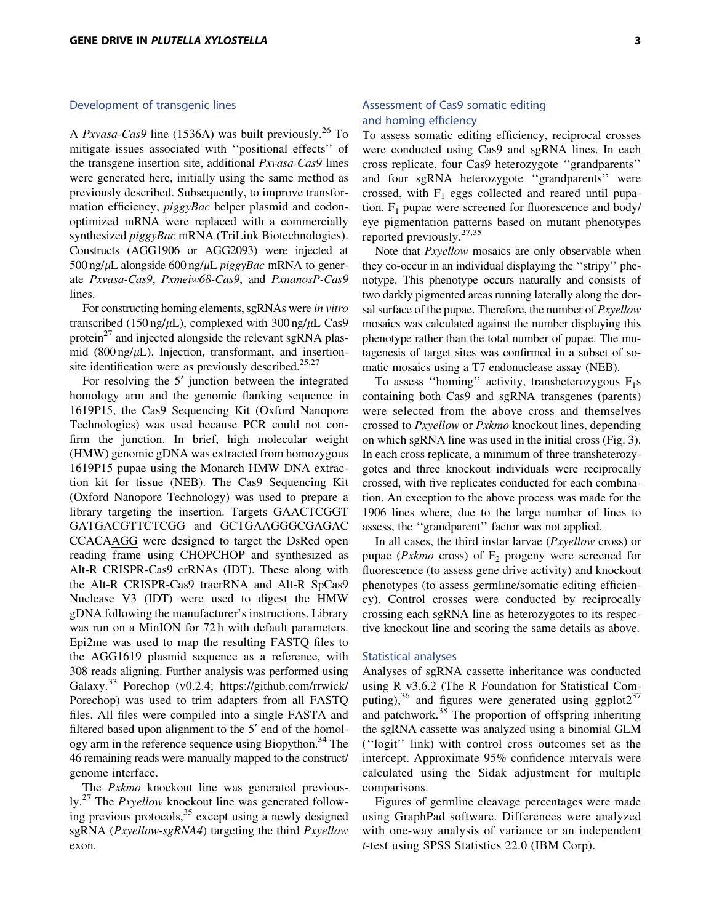## Development of transgenic lines

A *Pxvasa-Cas9* line (1536A) was built previously.<sup>26</sup> To mitigate issues associated with ''positional effects'' of the transgene insertion site, additional *Pxvasa-Cas9* lines were generated here, initially using the same method as previously described. Subsequently, to improve transformation efficiency, *piggyBac* helper plasmid and codonoptimized mRNA were replaced with a commercially synthesized *piggyBac* mRNA (TriLink Biotechnologies). Constructs (AGG1906 or AGG2093) were injected at 500 ng/lL alongside 600 ng/lL *piggyBac* mRNA to generate *Pxvasa-Cas9*, *Pxmeiw68-Cas9*, and *PxnanosP-Cas9* lines.

For constructing homing elements, sgRNAs were *in vitro* transcribed (150 ng/ $\mu$ L), complexed with 300 ng/ $\mu$ L Cas9 protein<sup>27</sup> and injected alongside the relevant sgRNA plasmid (800 ng/ $\mu$ L). Injection, transformant, and insertionsite identification were as previously described. $25,27$ 

For resolving the 5<sup>'</sup> junction between the integrated homology arm and the genomic flanking sequence in 1619P15, the Cas9 Sequencing Kit (Oxford Nanopore Technologies) was used because PCR could not confirm the junction. In brief, high molecular weight (HMW) genomic gDNA was extracted from homozygous 1619P15 pupae using the Monarch HMW DNA extraction kit for tissue (NEB). The Cas9 Sequencing Kit (Oxford Nanopore Technology) was used to prepare a library targeting the insertion. Targets GAACTCGGT GATGACGTTCTCGG and GCTGAAGGGCGAGAC CCACAAGG were designed to target the DsRed open reading frame using CHOPCHOP and synthesized as Alt-R CRISPR-Cas9 crRNAs (IDT). These along with the Alt-R CRISPR-Cas9 tracrRNA and Alt-R SpCas9 Nuclease V3 (IDT) were used to digest the HMW gDNA following the manufacturer's instructions. Library was run on a MinION for 72 h with default parameters. Epi2me was used to map the resulting FASTQ files to the AGG1619 plasmid sequence as a reference, with 308 reads aligning. Further analysis was performed using Galaxy.<sup>33</sup> Porechop (v0.2.4; [https://github.com/rrwick/](https://github.com/rrwick/Porechop) [Porechop](https://github.com/rrwick/Porechop)) was used to trim adapters from all FASTQ files. All files were compiled into a single FASTA and filtered based upon alignment to the 5<sup>'</sup> end of the homology arm in the reference sequence using Biopython.<sup>34</sup> The 46 remaining reads were manually mapped to the construct/ genome interface.

The *Pxkmo* knockout line was generated previously.27 The *Pxyellow* knockout line was generated following previous protocols,  $35$  except using a newly designed sgRNA (*Pxyellow-sgRNA4*) targeting the third *Pxyellow* exon.

## Assessment of Cas9 somatic editing and homing efficiency

To assess somatic editing efficiency, reciprocal crosses were conducted using Cas9 and sgRNA lines. In each cross replicate, four Cas9 heterozygote ''grandparents'' and four sgRNA heterozygote ''grandparents'' were crossed, with  $F_1$  eggs collected and reared until pupation.  $F_1$  pupae were screened for fluorescence and body/ eye pigmentation patterns based on mutant phenotypes reported previously.27,35

Note that *Pxyellow* mosaics are only observable when they co-occur in an individual displaying the ''stripy'' phenotype. This phenotype occurs naturally and consists of two darkly pigmented areas running laterally along the dorsal surface of the pupae. Therefore, the number of *Pxyellow* mosaics was calculated against the number displaying this phenotype rather than the total number of pupae. The mutagenesis of target sites was confirmed in a subset of somatic mosaics using a T7 endonuclease assay (NEB).

To assess "homing" activity, transheterozygous  $F_1s$ containing both Cas9 and sgRNA transgenes (parents) were selected from the above cross and themselves crossed to *Pxyellow* or *Pxkmo* knockout lines, depending on which sgRNA line was used in the initial cross (Fig. 3). In each cross replicate, a minimum of three transheterozygotes and three knockout individuals were reciprocally crossed, with five replicates conducted for each combination. An exception to the above process was made for the 1906 lines where, due to the large number of lines to assess, the ''grandparent'' factor was not applied.

In all cases, the third instar larvae (*Pxyellow* cross) or pupae ( $Px$ *kmo* cross) of  $F_2$  progeny were screened for fluorescence (to assess gene drive activity) and knockout phenotypes (to assess germline/somatic editing efficiency). Control crosses were conducted by reciprocally crossing each sgRNA line as heterozygotes to its respective knockout line and scoring the same details as above.

#### Statistical analyses

Analyses of sgRNA cassette inheritance was conducted using R v3.6.2 (The R Foundation for Statistical Computing),<sup>36</sup> and figures were generated using ggplot $2^{37}$ and patchwork.<sup>38</sup> The proportion of offspring inheriting the sgRNA cassette was analyzed using a binomial GLM (''logit'' link) with control cross outcomes set as the intercept. Approximate 95% confidence intervals were calculated using the Sidak adjustment for multiple comparisons.

Figures of germline cleavage percentages were made using GraphPad software. Differences were analyzed with one-way analysis of variance or an independent *t*-test using SPSS Statistics 22.0 (IBM Corp).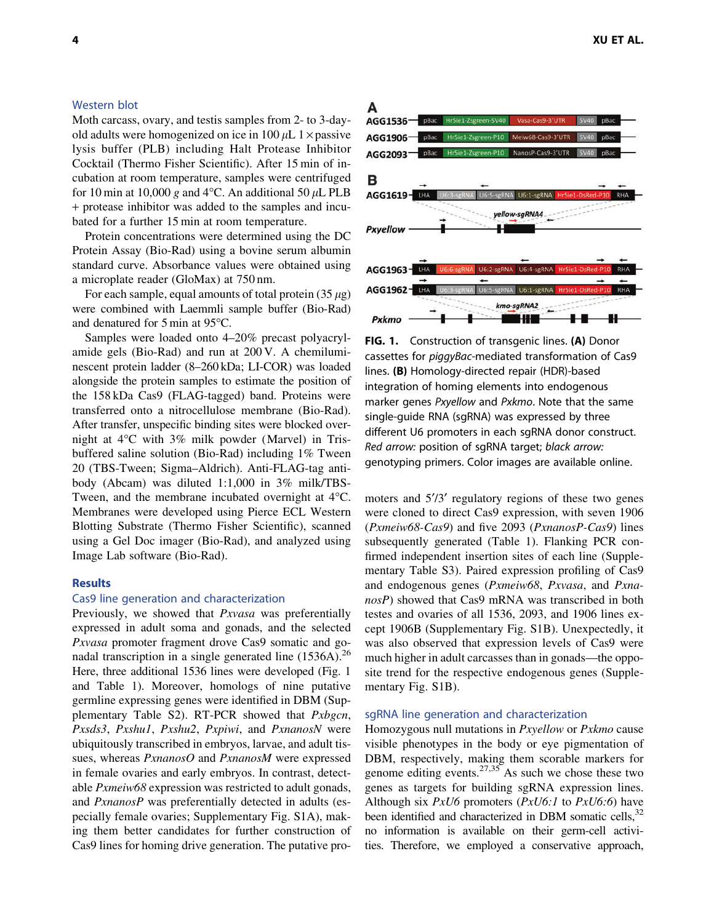## Western blot

Moth carcass, ovary, and testis samples from 2- to 3-dayold adults were homogenized on ice in 100  $\mu$ L 1  $\times$  passive lysis buffer (PLB) including Halt Protease Inhibitor Cocktail (Thermo Fisher Scientific). After 15 min of incubation at room temperature, samples were centrifuged for 10 min at 10,000 g and 4 $\rm ^{\circ}C$ . An additional 50  $\rm \mu L$  PLB + protease inhibitor was added to the samples and incubated for a further 15 min at room temperature.

Protein concentrations were determined using the DC Protein Assay (Bio-Rad) using a bovine serum albumin standard curve. Absorbance values were obtained using a microplate reader (GloMax) at 750 nm.

For each sample, equal amounts of total protein  $(35 \mu g)$ were combined with Laemmli sample buffer (Bio-Rad) and denatured for  $5 \text{ min}$  at  $95^{\circ}$ C.

Samples were loaded onto 4–20% precast polyacrylamide gels (Bio-Rad) and run at 200 V. A chemiluminescent protein ladder (8–260 kDa; LI-COR) was loaded alongside the protein samples to estimate the position of the 158 kDa Cas9 (FLAG-tagged) band. Proteins were transferred onto a nitrocellulose membrane (Bio-Rad). After transfer, unspecific binding sites were blocked overnight at 4°C with 3% milk powder (Marvel) in Trisbuffered saline solution (Bio-Rad) including 1% Tween 20 (TBS-Tween; Sigma–Aldrich). Anti-FLAG-tag antibody (Abcam) was diluted 1:1,000 in 3% milk/TBS-Tween, and the membrane incubated overnight at  $4^{\circ}$ C. Membranes were developed using Pierce ECL Western Blotting Substrate (Thermo Fisher Scientific), scanned using a Gel Doc imager (Bio-Rad), and analyzed using Image Lab software (Bio-Rad).

#### Results

#### Cas9 line generation and characterization

Previously, we showed that *Pxvasa* was preferentially expressed in adult soma and gonads, and the selected *Pxvasa* promoter fragment drove Cas9 somatic and gonadal transcription in a single generated line  $(1536A)$ .<sup>26</sup> Here, three additional 1536 lines were developed (Fig. 1 and Table 1). Moreover, homologs of nine putative germline expressing genes were identified in DBM (Supplementary Table S2). RT-PCR showed that *Pxbgcn*, *Pxsds3*, *Pxshu1*, *Pxshu2*, *Pxpiwi*, and *PxnanosN* were ubiquitously transcribed in embryos, larvae, and adult tissues, whereas *PxnanosO* and *PxnanosM* were expressed in female ovaries and early embryos. In contrast, detectable *Pxmeiw68* expression was restricted to adult gonads, and *PxnanosP* was preferentially detected in adults (especially female ovaries; Supplementary Fig. S1A), making them better candidates for further construction of Cas9 lines for homing drive generation. The putative pro-



FIG. 1. Construction of transgenic lines. (A) Donor cassettes for piggyBac-mediated transformation of Cas9 lines. (B) Homology-directed repair (HDR)-based integration of homing elements into endogenous marker genes Pxyellow and Pxkmo. Note that the same single-guide RNA (sgRNA) was expressed by three different U6 promoters in each sgRNA donor construct. Red arrow: position of sgRNA target; black arrow: genotyping primers. Color images are available online.

moters and  $5'$ /3' regulatory regions of these two genes were cloned to direct Cas9 expression, with seven 1906 (*Pxmeiw68-Cas9*) and five 2093 (*PxnanosP-Cas9*) lines subsequently generated (Table 1). Flanking PCR confirmed independent insertion sites of each line (Supplementary Table S3). Paired expression profiling of Cas9 and endogenous genes (*Pxmeiw68*, *Pxvasa*, and *PxnanosP*) showed that Cas9 mRNA was transcribed in both testes and ovaries of all 1536, 2093, and 1906 lines except 1906B (Supplementary Fig. S1B). Unexpectedly, it was also observed that expression levels of Cas9 were much higher in adult carcasses than in gonads—the opposite trend for the respective endogenous genes (Supplementary Fig. S1B).

#### sgRNA line generation and characterization

Homozygous null mutations in *Pxyellow* or *Pxkmo* cause visible phenotypes in the body or eye pigmentation of DBM, respectively, making them scorable markers for genome editing events.<sup>27,35</sup> As such we chose these two genes as targets for building sgRNA expression lines. Although six *PxU6* promoters (*PxU6:1* to *PxU6:6*) have been identified and characterized in DBM somatic cells,  $32$ no information is available on their germ-cell activities. Therefore, we employed a conservative approach,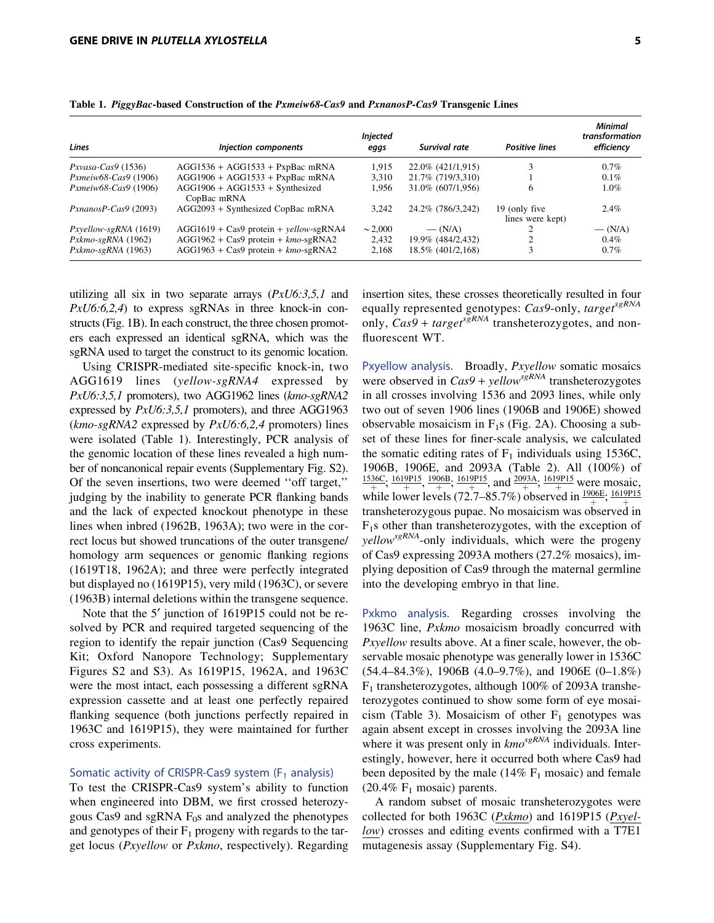| Lines                      | Injection components                             | <b>Injected</b><br>eggs | Survival rate      | <b>Positive lines</b>              | <b>Minimal</b><br>transformation<br>efficiency |
|----------------------------|--------------------------------------------------|-------------------------|--------------------|------------------------------------|------------------------------------------------|
| $Pxyasa-Cas9(1536)$        | $AGG1536 + AGG1533 + PxpBac$ mRNA                | 1.915                   | 22.0% (421/1,915)  | 3                                  | $0.7\%$                                        |
| $Pxmei\psi 68-Cas9$ (1906) | $AGG1906 + AGG1533 + PxpBac$ mRNA                | 3.310                   | 21.7% (719/3,310)  |                                    | $0.1\%$                                        |
| $Pxmei\psi 68-Cas9$ (1906) | $AGG1906 + AGG1533 + Synthesized$<br>CopBac mRNA | 1.956                   | 31.0\% (607/1,956) | <sub>0</sub>                       | 1.0%                                           |
| $PxnanosP-Cas9(2093)$      | AGG2093 + Synthesized CopBac mRNA                | 3.242                   | 24.2% (786/3,242)  | 19 (only five)<br>lines were kept) | $2.4\%$                                        |
| $Pxyellow-sgRNA(1619)$     | $AGG1619 + Cas9$ protein + yellow-sgRNA4         | $\sim 2,000$            | $- (N/A)$          |                                    | $- (N/A)$                                      |
| $Pxkmo-sgRNA$ (1962)       | $AGG1962 + Cas9$ protein + $kmo$ -sgRNA2         | 2.432                   | 19.9% (484/2,432)  |                                    | $0.4\%$                                        |
| $Pxkmo-sgRNA$ (1963)       | $AGG1963 + Cas9$ protein + $kmo$ -sgRNA2         | 2,168                   | 18.5% (401/2,168)  | 3                                  | $0.7\%$                                        |

Table 1. PiggyBac-based Construction of the Pxmeiw68-Cas9 and PxnanosP-Cas9 Transgenic Lines

utilizing all six in two separate arrays (*PxU6:3,5,1* and *PxU6:6,2,4*) to express sgRNAs in three knock-in constructs (Fig. 1B). In each construct, the three chosen promoters each expressed an identical sgRNA, which was the sgRNA used to target the construct to its genomic location.

Using CRISPR-mediated site-specific knock-in, two AGG1619 lines (*yellow-sgRNA4* expressed by *PxU6:3,5,1* promoters), two AGG1962 lines (*kmo-sgRNA2* expressed by *PxU6:3,5,1* promoters), and three AGG1963 (*kmo-sgRNA2* expressed by *PxU6:6,2,4* promoters) lines were isolated (Table 1). Interestingly, PCR analysis of the genomic location of these lines revealed a high number of noncanonical repair events (Supplementary Fig. S2). Of the seven insertions, two were deemed ''off target,'' judging by the inability to generate PCR flanking bands and the lack of expected knockout phenotype in these lines when inbred (1962B, 1963A); two were in the correct locus but showed truncations of the outer transgene/ homology arm sequences or genomic flanking regions (1619T18, 1962A); and three were perfectly integrated but displayed no (1619P15), very mild (1963C), or severe (1963B) internal deletions within the transgene sequence.

Note that the 5' junction of 1619P15 could not be resolved by PCR and required targeted sequencing of the region to identify the repair junction (Cas9 Sequencing Kit; Oxford Nanopore Technology; Supplementary Figures S2 and S3). As 1619P15, 1962A, and 1963C were the most intact, each possessing a different sgRNA expression cassette and at least one perfectly repaired flanking sequence (both junctions perfectly repaired in 1963C and 1619P15), they were maintained for further cross experiments.

#### Somatic activity of CRISPR-Cas9 system ( $F_1$  analysis)

To test the CRISPR-Cas9 system's ability to function when engineered into DBM, we first crossed heterozygous Cas9 and sgRNA  $F_0$ s and analyzed the phenotypes and genotypes of their  $F_1$  progeny with regards to the target locus (*Pxyellow* or *Pxkmo*, respectively). Regarding insertion sites, these crosses theoretically resulted in four equally represented genotypes: *Cas9*-only, *targetsgRNA* only,  $Cas9 + target^{sgRNA}$  transheterozygotes, and nonfluorescent WT.

Pxyellow analysis. Broadly, *Pxyellow* somatic mosaics were observed in *Cas9* + *yellowsgRNA* transheterozygotes in all crosses involving 1536 and 2093 lines, while only two out of seven 1906 lines (1906B and 1906E) showed observable mosaicism in  $F_1$ s (Fig. 2A). Choosing a subset of these lines for finer-scale analysis, we calculated the somatic editing rates of  $F_1$  individuals using 1536C, 1906B, 1906E, and 2093A (Table 2). All (100%) of  $\frac{1536C}{+}$ ;  $\frac{1619P15}{+}$ ,  $\frac{1906B}{+}$ ;  $\frac{1619P15}{+}$ , and  $\frac{2093A}{+}$ ;  $\frac{1619P15}{+}$  were mosaic, while lower levels (72.7–85.7%) observed in  $\frac{1906E}{+}$ ,  $\frac{1619P15}{+}$ transheterozygous pupae. No mosaicism was observed in  $F<sub>1</sub>s$  other than transheterozygotes, with the exception of *yellowsgRNA*-only individuals, which were the progeny of Cas9 expressing 2093A mothers (27.2% mosaics), implying deposition of Cas9 through the maternal germline into the developing embryo in that line.

Pxkmo analysis. Regarding crosses involving the 1963C line, *Pxkmo* mosaicism broadly concurred with *Pxyellow* results above. At a finer scale, however, the observable mosaic phenotype was generally lower in 1536C (54.4–84.3%), 1906B (4.0–9.7%), and 1906E (0–1.8%)  $F_1$  transheterozygotes, although 100% of 2093A transheterozygotes continued to show some form of eye mosaicism (Table 3). Mosaicism of other  $F_1$  genotypes was again absent except in crosses involving the 2093A line where it was present only in  $kmo^{sgRNA}$  individuals. Interestingly, however, here it occurred both where Cas9 had been deposited by the male  $(14\% \text{ F}_1 \text{ mosaic})$  and female (20.4%  $F_1$  mosaic) parents.

A random subset of mosaic transheterozygotes were collected for both 1963C (*Pxkmo*) and 1619P15 (*Pxyellow*) crosses and editing events confirmed with a T7E1 mutagenesis assay (Supplementary Fig. S4).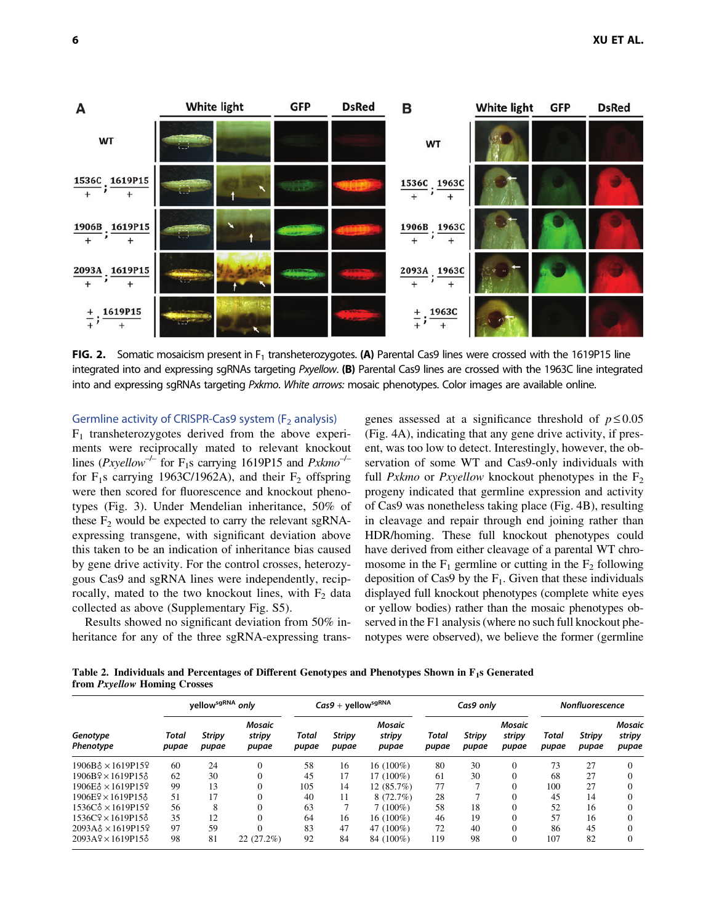

FIG. 2. Somatic mosaicism present in  $F_1$  transheterozygotes. (A) Parental Cas9 lines were crossed with the 1619P15 line integrated into and expressing sgRNAs targeting Pxyellow. (B) Parental Cas9 lines are crossed with the 1963C line integrated into and expressing sgRNAs targeting Pxkmo. White arrows: mosaic phenotypes. Color images are available online.

Germline activity of CRISPR-Cas9 system ( $F<sub>2</sub>$  analysis)

 $F_1$  transheterozygotes derived from the above experiments were reciprocally mated to relevant knockout lines (*Pxyellow<sup>-/-</sup>* for F<sub>1</sub>s carrying 1619P15 and *Pxkmo<sup>-/-</sup>* for  $F_1$ s carrying 1963C/1962A), and their  $F_2$  offspring were then scored for fluorescence and knockout phenotypes (Fig. 3). Under Mendelian inheritance, 50% of these  $F_2$  would be expected to carry the relevant sgRNAexpressing transgene, with significant deviation above this taken to be an indication of inheritance bias caused by gene drive activity. For the control crosses, heterozygous Cas9 and sgRNA lines were independently, reciprocally, mated to the two knockout lines, with  $F_2$  data collected as above (Supplementary Fig. S5).

Results showed no significant deviation from 50% inheritance for any of the three sgRNA-expressing transgenes assessed at a significance threshold of  $p \le 0.05$ (Fig. 4A), indicating that any gene drive activity, if present, was too low to detect. Interestingly, however, the observation of some WT and Cas9-only individuals with full *Pxkmo* or *Pxyellow* knockout phenotypes in the  $F_2$ progeny indicated that germline expression and activity of Cas9 was nonetheless taking place (Fig. 4B), resulting in cleavage and repair through end joining rather than HDR/homing. These full knockout phenotypes could have derived from either cleavage of a parental WT chromosome in the  $F_1$  germline or cutting in the  $F_2$  following deposition of Cas9 by the  $F_1$ . Given that these individuals displayed full knockout phenotypes (complete white eyes or yellow bodies) rather than the mosaic phenotypes observed in the F1 analysis (where no such full knockout phenotypes were observed), we believe the former (germline

Table 2. Individuals and Percentages of Different Genotypes and Phenotypes Shown in F1s Generated from Pxyellow Homing Crosses

| Genotype<br>Phenotype         | yellow <sup>sgRNA</sup> ,<br>only |                        |                           | $\textit{Cas} 9 + \textit{yellow}^\text{sgRNA}$ |                        |                           | Cas9 onlv      |                        |                           | <b>Nonfluorescence</b> |                        |                           |
|-------------------------------|-----------------------------------|------------------------|---------------------------|-------------------------------------------------|------------------------|---------------------------|----------------|------------------------|---------------------------|------------------------|------------------------|---------------------------|
|                               | Total<br>pupae                    | <b>Stripy</b><br>pupae | Mosaic<br>stripy<br>pupae | Total<br>pupae                                  | <b>Stripy</b><br>pupae | Mosaic<br>stripy<br>pupae | Total<br>pupae | <b>Stripy</b><br>pupae | Mosaic<br>stripy<br>pupae | Total<br>pupae         | <b>Stripy</b><br>pupae | Mosaic<br>stripy<br>pupae |
| 1906B & x 1619P159            | 60                                | 24                     | $\sqrt{ }$                | 58                                              | 16                     | 16 (100%)                 | 80             | 30                     |                           | 73                     | 27                     |                           |
| $1906B2 \times 1619P153$      | 62                                | 30                     | $\Omega$                  | 45                                              | 17                     | 17 (100%)                 | 61             | 30                     |                           | 68                     | 27                     |                           |
| $1906E\delta \times 1619P15$  | 99                                | 13                     | $\Omega$                  | 105                                             | 14                     | 12 (85.7%)                | 77             |                        |                           | 100                    | 27                     |                           |
| $1906E2 \times 1619P153$      | 51                                | 17                     | $\theta$                  | 40                                              | 11                     | 8(72.7%)                  | 28             |                        |                           | 45                     | 14                     |                           |
| $1536C\delta \times 1619P159$ | 56                                | 8                      |                           | 63                                              |                        | $7(100\%)$                | 58             | 18                     |                           | 52                     | 16                     |                           |
| 1536C <sub>2</sub> × 1619P158 | 35                                | 12                     | $\Omega$                  | 64                                              | 16                     | 16 (100%)                 | 46             | 19                     |                           | 57                     | 16                     |                           |
| $2093A\delta \times 1619P15$  | 97                                | 59                     |                           | 83                                              | 47                     | 47 (100%)                 | 72             | 40                     |                           | 86                     | 45                     |                           |
| $2093A9 \times 1619P15$       | 98                                | 81                     | 22 (27.2%)                | 92                                              | 84                     | 84 (100%)                 | 119            | 98                     |                           | 107                    | 82                     |                           |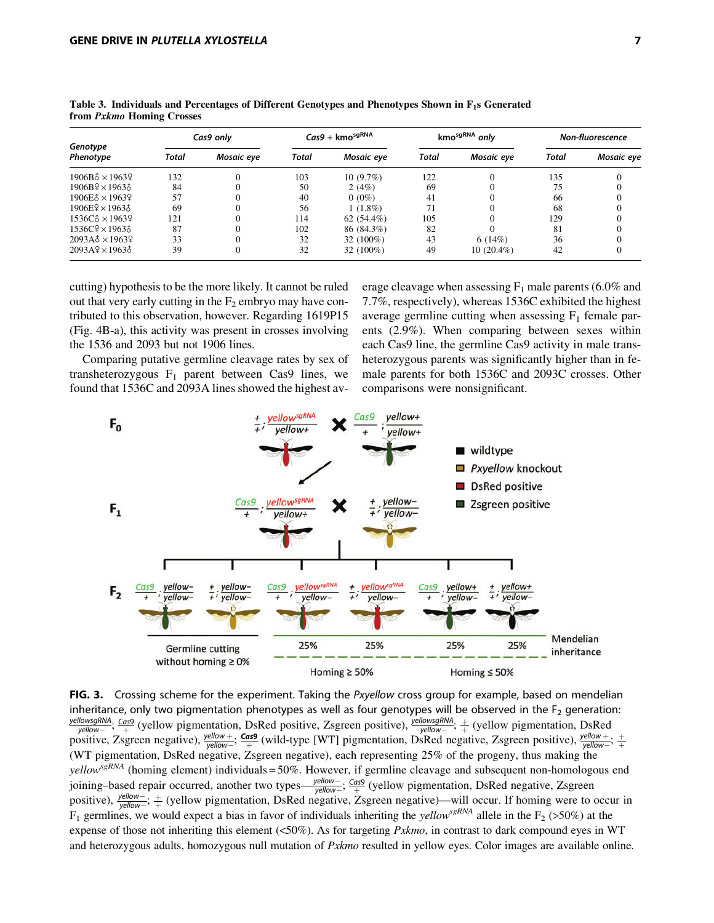| Genotype<br>Phenotype                  | Cas9 only |            | $Cas9 +$ kmo $^{sgRNA}$ |              | kmo <sup>sgRNA</sup> only |              | <b>Non-fluorescence</b> |            |
|----------------------------------------|-----------|------------|-------------------------|--------------|---------------------------|--------------|-------------------------|------------|
|                                        | Total     | Mosaic eye | Total                   | Mosaic eye   | Total                     | Mosaic eye   | Total                   | Mosaic eye |
| $1906B_{\odot} \times 19639$           | 132       |            | 103                     | $10(9.7\%)$  | 122                       |              | 135                     |            |
| $1906B2 \times 19633$                  | 84        |            | 50                      | 2(4%)        | 69                        |              | 75                      |            |
| $1906E\delta \times 1963$<br>2         | 57        |            | 40                      | $0(0\%)$     | 41                        |              | 66                      |            |
| $1906E2 \times 19633$                  | 69        |            | 56                      | $1(1.8\%)$   | 71                        |              | 68                      |            |
| 1536C <sub>3</sub> × 1963 <sup>9</sup> | 121       |            | 114                     | $62(54.4\%)$ | 105                       |              | 129                     |            |
| $1536C$ $\times$ $1963$ $\times$       | 87        |            | 102                     | 86 (84.3%)   | 82                        |              | 81                      |            |
| $2093A\delta \times 1963$              | 33        |            | 32                      | 32 (100%)    | 43                        | 6(14%)       | 36                      |            |
| $2093A9 \times 1963$                   | 39        |            | 32                      | 32 (100%)    | 49                        | $10(20.4\%)$ | 42                      |            |

Table 3. Individuals and Percentages of Different Genotypes and Phenotypes Shown in  $F_1$ s Generated from Pxkmo Homing Crosses

cutting) hypothesis to be the more likely. It cannot be ruled out that very early cutting in the  $F_2$  embryo may have contributed to this observation, however. Regarding 1619P15 (Fig. 4B-a), this activity was present in crosses involving the 1536 and 2093 but not 1906 lines.

Comparing putative germline cleavage rates by sex of transheterozygous  $F_1$  parent between Cas9 lines, we found that 1536C and 2093A lines showed the highest average cleavage when assessing  $F_1$  male parents (6.0% and 7.7%, respectively), whereas 1536C exhibited the highest average germline cutting when assessing  $F_1$  female parents (2.9%). When comparing between sexes within each Cas9 line, the germline Cas9 activity in male transheterozygous parents was significantly higher than in female parents for both 1536C and 2093C crosses. Other comparisons were nonsignificant.



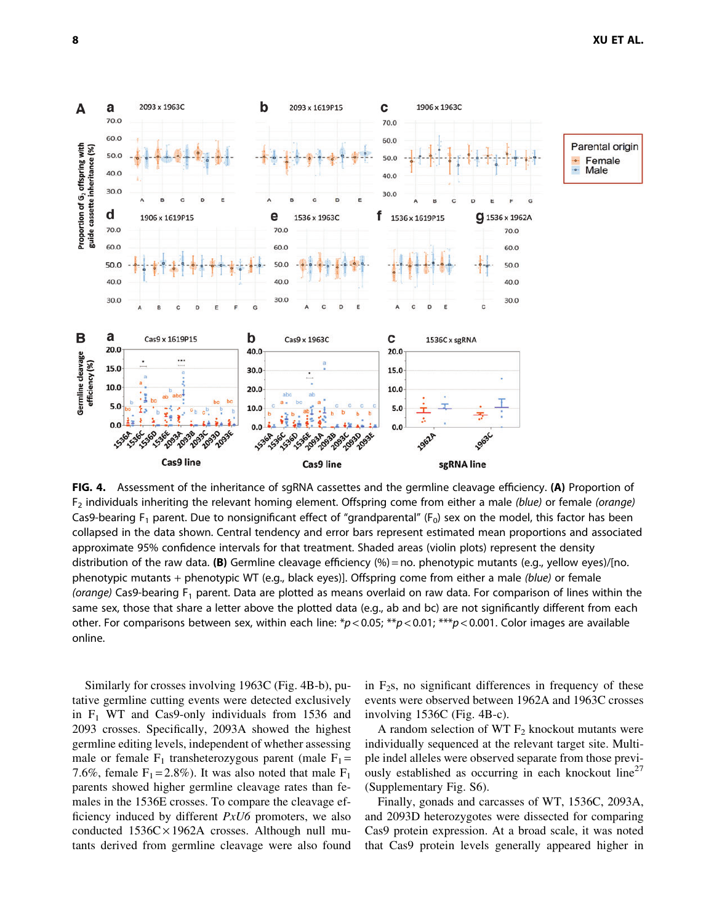

FIG. 4. Assessment of the inheritance of sgRNA cassettes and the germline cleavage efficiency. (A) Proportion of  $F_2$  individuals inheriting the relevant homing element. Offspring come from either a male (blue) or female (orange) Cas9-bearing  $F_1$  parent. Due to nonsignificant effect of "grandparental" ( $F_0$ ) sex on the model, this factor has been collapsed in the data shown. Central tendency and error bars represent estimated mean proportions and associated approximate 95% confidence intervals for that treatment. Shaded areas (violin plots) represent the density distribution of the raw data. (B) Germline cleavage efficiency  $(\% )$  = no. phenotypic mutants (e.g., yellow eyes)/[no. phenotypic mutants + phenotypic WT (e.g., black eyes)]. Offspring come from either a male (blue) or female (orange) Cas9-bearing  $F_1$  parent. Data are plotted as means overlaid on raw data. For comparison of lines within the same sex, those that share a letter above the plotted data (e.g., ab and bc) are not significantly different from each other. For comparisons between sex, within each line:  $p < 0.05$ ; \*\* $p < 0.01$ ; \*\*\* $p < 0.001$ . Color images are available online.

Similarly for crosses involving 1963C (Fig. 4B-b), putative germline cutting events were detected exclusively in  $F_1$  WT and Cas9-only individuals from 1536 and 2093 crosses. Specifically, 2093A showed the highest germline editing levels, independent of whether assessing male or female  $F_1$  transheterozygous parent (male  $F_1$  = 7.6%, female  $F_1 = 2.8\%$ ). It was also noted that male  $F_1$ parents showed higher germline cleavage rates than females in the 1536E crosses. To compare the cleavage efficiency induced by different *PxU6* promoters, we also conducted  $1536C \times 1962A$  crosses. Although null mutants derived from germline cleavage were also found in  $F_2$ s, no significant differences in frequency of these events were observed between 1962A and 1963C crosses involving 1536C (Fig. 4B-c).

A random selection of WT  $F_2$  knockout mutants were individually sequenced at the relevant target site. Multiple indel alleles were observed separate from those previously established as occurring in each knockout line<sup>27</sup> (Supplementary Fig. S6).

Finally, gonads and carcasses of WT, 1536C, 2093A, and 2093D heterozygotes were dissected for comparing Cas9 protein expression. At a broad scale, it was noted that Cas9 protein levels generally appeared higher in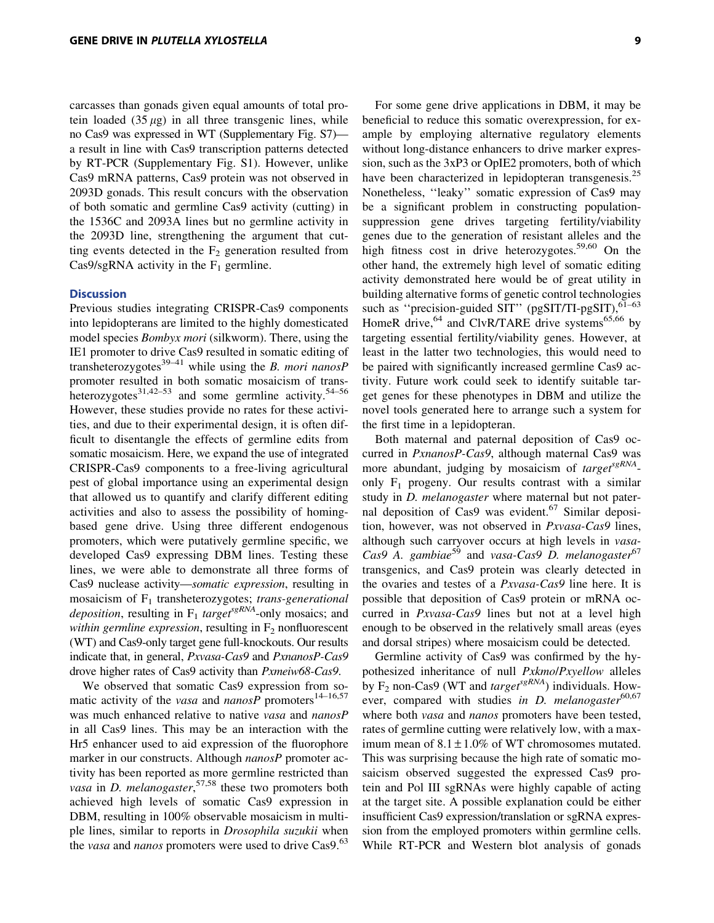carcasses than gonads given equal amounts of total protein loaded  $(35 \mu g)$  in all three transgenic lines, while no Cas9 was expressed in WT (Supplementary Fig. S7) a result in line with Cas9 transcription patterns detected by RT-PCR (Supplementary Fig. S1). However, unlike Cas9 mRNA patterns, Cas9 protein was not observed in 2093D gonads. This result concurs with the observation of both somatic and germline Cas9 activity (cutting) in the 1536C and 2093A lines but no germline activity in the 2093D line, strengthening the argument that cutting events detected in the  $F_2$  generation resulted from Cas $9$ /sgRNA activity in the  $F_1$  germline.

#### **Discussion**

Previous studies integrating CRISPR-Cas9 components into lepidopterans are limited to the highly domesticated model species *Bombyx mori* (silkworm). There, using the IE1 promoter to drive Cas9 resulted in somatic editing of transheterozygotes<sup>39–41</sup> while using the *B. mori nanosP* promoter resulted in both somatic mosaicism of transheterozygotes<sup>31,42–53</sup> and some germline activity.<sup>54–56</sup> However, these studies provide no rates for these activities, and due to their experimental design, it is often difficult to disentangle the effects of germline edits from somatic mosaicism. Here, we expand the use of integrated CRISPR-Cas9 components to a free-living agricultural pest of global importance using an experimental design that allowed us to quantify and clarify different editing activities and also to assess the possibility of homingbased gene drive. Using three different endogenous promoters, which were putatively germline specific, we developed Cas9 expressing DBM lines. Testing these lines, we were able to demonstrate all three forms of Cas9 nuclease activity—*somatic expression*, resulting in mosaicism of F1 transheterozygotes; *trans-generational deposition*, resulting in  $F_1$  *target*<sup>sgRNA</sup>-only mosaics; and *within germline expression*, resulting in  $F_2$  nonfluorescent (WT) and Cas9-only target gene full-knockouts. Our results indicate that, in general, *Pxvasa-Cas9* and *PxnanosP-Cas9* drove higher rates of Cas9 activity than *Pxmeiw68-Cas9*.

We observed that somatic Cas9 expression from somatic activity of the *vasa* and  $nanosP$  promoters<sup>14–16,57</sup> was much enhanced relative to native *vasa* and *nanosP* in all Cas9 lines. This may be an interaction with the Hr5 enhancer used to aid expression of the fluorophore marker in our constructs. Although *nanosP* promoter activity has been reported as more germline restricted than *vasa* in *D. melanogaster*, 57,58 these two promoters both achieved high levels of somatic Cas9 expression in DBM, resulting in 100% observable mosaicism in multiple lines, similar to reports in *Drosophila suzukii* when the *vasa* and *nanos* promoters were used to drive Cas9.<sup>63</sup>

For some gene drive applications in DBM, it may be beneficial to reduce this somatic overexpression, for example by employing alternative regulatory elements without long-distance enhancers to drive marker expression, such as the 3xP3 or OpIE2 promoters, both of which have been characterized in lepidopteran transgenesis.<sup>25</sup> Nonetheless, ''leaky'' somatic expression of Cas9 may be a significant problem in constructing populationsuppression gene drives targeting fertility/viability genes due to the generation of resistant alleles and the high fitness cost in drive heterozygotes.<sup>59,60</sup> On the other hand, the extremely high level of somatic editing activity demonstrated here would be of great utility in building alternative forms of genetic control technologies such as "precision-guided SIT" (pgSIT/TI-pgSIT), $61-63$ HomeR drive, <sup>64</sup> and ClvR/TARE drive systems<sup>65,66</sup> by targeting essential fertility/viability genes. However, at least in the latter two technologies, this would need to be paired with significantly increased germline Cas9 activity. Future work could seek to identify suitable target genes for these phenotypes in DBM and utilize the novel tools generated here to arrange such a system for the first time in a lepidopteran.

Both maternal and paternal deposition of Cas9 occurred in *PxnanosP-Cas9*, although maternal Cas9 was more abundant, judging by mosaicism of *target*<sup>sgRNA</sup>only  $F_1$  progeny. Our results contrast with a similar study in *D. melanogaster* where maternal but not paternal deposition of Cas9 was evident.<sup>67</sup> Similar deposition, however, was not observed in *Pxvasa-Cas9* lines, although such carryover occurs at high levels in *vasa-*Cas9 A. gambiae<sup>59</sup> and *vasa-Cas9 D. melanogaster*<sup>67</sup> transgenics, and Cas9 protein was clearly detected in the ovaries and testes of a *Pxvasa-Cas9* line here. It is possible that deposition of Cas9 protein or mRNA occurred in *Pxvasa-Cas9* lines but not at a level high enough to be observed in the relatively small areas (eyes and dorsal stripes) where mosaicism could be detected.

Germline activity of Cas9 was confirmed by the hypothesized inheritance of null *Pxkmo*/*Pxyellow* alleles by  $F_2$  non-Cas9 (WT and *target*<sup>*sgRNA*</sup>) individuals. However, compared with studies *in D. melanogaster*<sup>60,67</sup> where both *vasa* and *nanos* promoters have been tested, rates of germline cutting were relatively low, with a maximum mean of  $8.1 \pm 1.0\%$  of WT chromosomes mutated. This was surprising because the high rate of somatic mosaicism observed suggested the expressed Cas9 protein and Pol III sgRNAs were highly capable of acting at the target site. A possible explanation could be either insufficient Cas9 expression/translation or sgRNA expression from the employed promoters within germline cells. While RT-PCR and Western blot analysis of gonads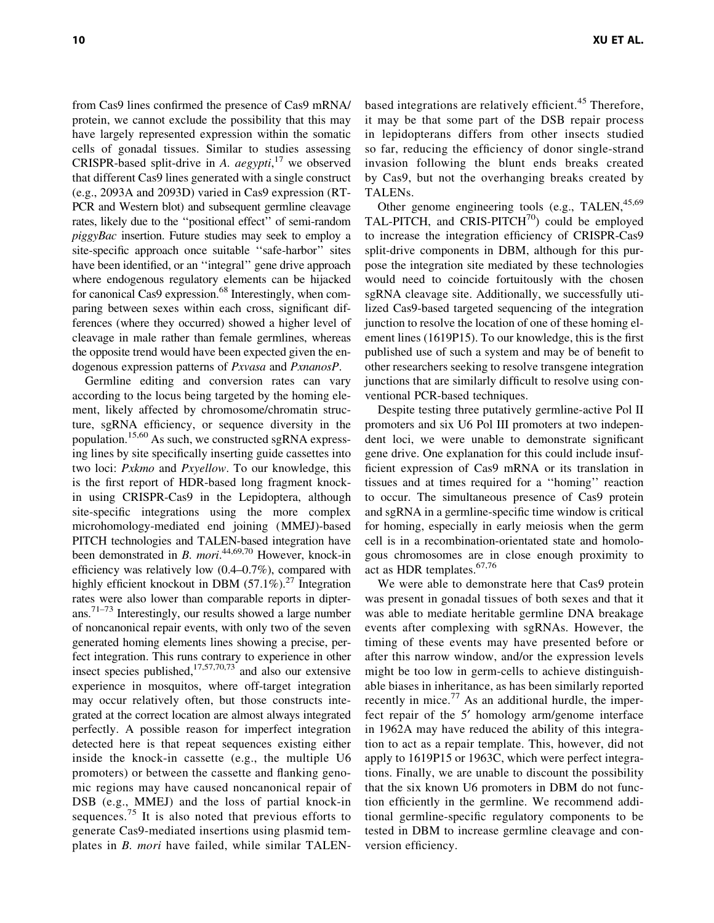from Cas9 lines confirmed the presence of Cas9 mRNA/ protein, we cannot exclude the possibility that this may have largely represented expression within the somatic cells of gonadal tissues. Similar to studies assessing CRISPR-based split-drive in *A. aegypti*, <sup>17</sup> we observed that different Cas9 lines generated with a single construct (e.g., 2093A and 2093D) varied in Cas9 expression (RT-PCR and Western blot) and subsequent germline cleavage rates, likely due to the ''positional effect'' of semi-random *piggyBac* insertion. Future studies may seek to employ a site-specific approach once suitable ''safe-harbor'' sites have been identified, or an "integral" gene drive approach where endogenous regulatory elements can be hijacked for canonical Cas9 expression.<sup>68</sup> Interestingly, when comparing between sexes within each cross, significant differences (where they occurred) showed a higher level of cleavage in male rather than female germlines, whereas the opposite trend would have been expected given the endogenous expression patterns of *Pxvasa* and *PxnanosP*.

Germline editing and conversion rates can vary according to the locus being targeted by the homing element, likely affected by chromosome/chromatin structure, sgRNA efficiency, or sequence diversity in the population.<sup>15,60</sup> As such, we constructed sgRNA expressing lines by site specifically inserting guide cassettes into two loci: *Pxkmo* and *Pxyellow*. To our knowledge, this is the first report of HDR-based long fragment knockin using CRISPR-Cas9 in the Lepidoptera, although site-specific integrations using the more complex microhomology-mediated end joining (MMEJ)-based PITCH technologies and TALEN-based integration have been demonstrated in *B. mori*. 44,69,70 However, knock-in efficiency was relatively low (0.4–0.7%), compared with highly efficient knockout in DBM  $(57.1\%)$ <sup>27</sup> Integration rates were also lower than comparable reports in dipterans.71–73 Interestingly, our results showed a large number of noncanonical repair events, with only two of the seven generated homing elements lines showing a precise, perfect integration. This runs contrary to experience in other insect species published, $17,57,70,73$  and also our extensive experience in mosquitos, where off-target integration may occur relatively often, but those constructs integrated at the correct location are almost always integrated perfectly. A possible reason for imperfect integration detected here is that repeat sequences existing either inside the knock-in cassette (e.g., the multiple U6 promoters) or between the cassette and flanking genomic regions may have caused noncanonical repair of DSB (e.g., MMEJ) and the loss of partial knock-in sequences.<sup>75</sup> It is also noted that previous efforts to generate Cas9-mediated insertions using plasmid templates in *B. mori* have failed, while similar TALEN-

based integrations are relatively efficient.<sup>45</sup> Therefore, it may be that some part of the DSB repair process in lepidopterans differs from other insects studied so far, reducing the efficiency of donor single-strand invasion following the blunt ends breaks created by Cas9, but not the overhanging breaks created by TALENs.

Other genome engineering tools (e.g., TALEN,  $45,69$ TAL-PITCH, and CRIS-PITCH $^{70}$ ) could be employed to increase the integration efficiency of CRISPR-Cas9 split-drive components in DBM, although for this purpose the integration site mediated by these technologies would need to coincide fortuitously with the chosen sgRNA cleavage site. Additionally, we successfully utilized Cas9-based targeted sequencing of the integration junction to resolve the location of one of these homing element lines (1619P15). To our knowledge, this is the first published use of such a system and may be of benefit to other researchers seeking to resolve transgene integration junctions that are similarly difficult to resolve using conventional PCR-based techniques.

Despite testing three putatively germline-active Pol II promoters and six U6 Pol III promoters at two independent loci, we were unable to demonstrate significant gene drive. One explanation for this could include insufficient expression of Cas9 mRNA or its translation in tissues and at times required for a ''homing'' reaction to occur. The simultaneous presence of Cas9 protein and sgRNA in a germline-specific time window is critical for homing, especially in early meiosis when the germ cell is in a recombination-orientated state and homologous chromosomes are in close enough proximity to act as HDR templates.<sup>67,76</sup>

We were able to demonstrate here that Cas9 protein was present in gonadal tissues of both sexes and that it was able to mediate heritable germline DNA breakage events after complexing with sgRNAs. However, the timing of these events may have presented before or after this narrow window, and/or the expression levels might be too low in germ-cells to achieve distinguishable biases in inheritance, as has been similarly reported recently in mice.<sup>77</sup> As an additional hurdle, the imperfect repair of the 5' homology arm/genome interface in 1962A may have reduced the ability of this integration to act as a repair template. This, however, did not apply to 1619P15 or 1963C, which were perfect integrations. Finally, we are unable to discount the possibility that the six known U6 promoters in DBM do not function efficiently in the germline. We recommend additional germline-specific regulatory components to be tested in DBM to increase germline cleavage and conversion efficiency.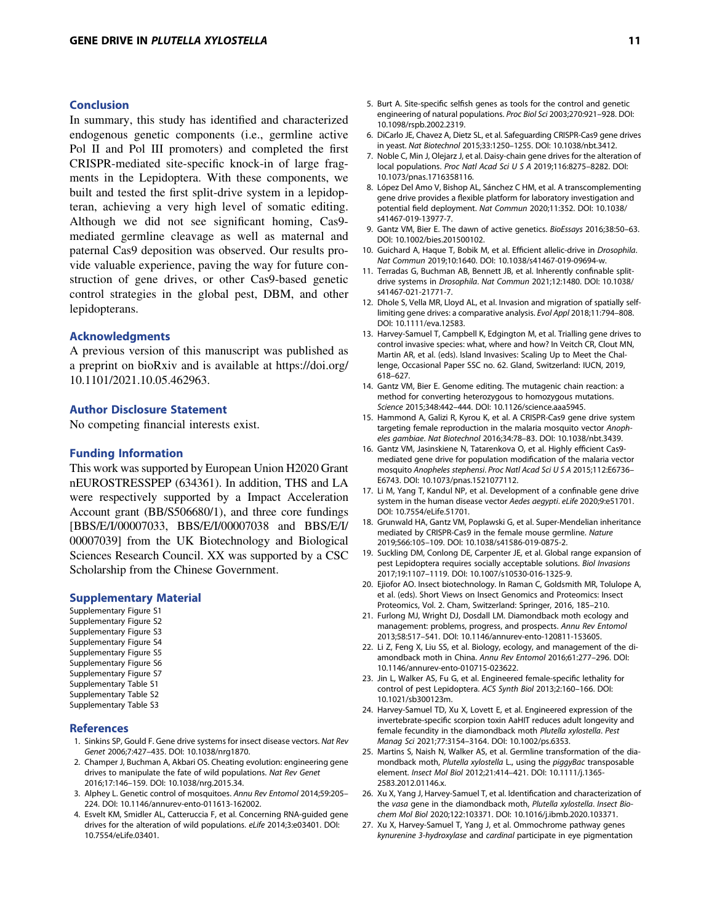## Conclusion

In summary, this study has identified and characterized endogenous genetic components (i.e., germline active Pol II and Pol III promoters) and completed the first CRISPR-mediated site-specific knock-in of large fragments in the Lepidoptera. With these components, we built and tested the first split-drive system in a lepidopteran, achieving a very high level of somatic editing. Although we did not see significant homing, Cas9 mediated germline cleavage as well as maternal and paternal Cas9 deposition was observed. Our results provide valuable experience, paving the way for future construction of gene drives, or other Cas9-based genetic control strategies in the global pest, DBM, and other lepidopterans.

## Acknowledgments

A previous version of this manuscript was published as a preprint on bioRxiv and is available at [https://doi.org/](https://doi.org/10.1101/2021.10.05.462963) [10.1101/2021.10.05.462963.](https://doi.org/10.1101/2021.10.05.462963)

## Author Disclosure Statement

No competing financial interests exist.

#### Funding Information

This work was supported by European Union H2020 Grant nEUROSTRESSPEP (634361). In addition, THS and LA were respectively supported by a Impact Acceleration Account grant (BB/S506680/1), and three core fundings [BBS/E/I/00007033, BBS/E/I/00007038 and BBS/E/I/ 00007039] from the UK Biotechnology and Biological Sciences Research Council. XX was supported by a CSC Scholarship from the Chinese Government.

#### Supplementary Material

Supplementary Figure S1 Supplementary Figure S2 Supplementary Figure S3 Supplementary Figure S4 Supplementary Figure S5 Supplementary Figure S6 Supplementary Figure S7 Supplementary Table S1 Supplementary Table S2 Supplementary Table S3

#### **References**

- 1. Sinkins SP, Gould F. Gene drive systems for insect disease vectors. Nat Rev Genet 2006;7:427–435. DOI: 10.1038/nrg1870.
- 2. Champer J, Buchman A, Akbari OS. Cheating evolution: engineering gene drives to manipulate the fate of wild populations. Nat Rev Genet 2016;17:146–159. DOI: 10.1038/nrg.2015.34.
- 3. Alphey L. Genetic control of mosquitoes. Annu Rev Entomol 2014;59:205– 224. DOI: 10.1146/annurev-ento-011613-162002.
- 4. Esvelt KM, Smidler AL, Catteruccia F, et al. Concerning RNA-guided gene drives for the alteration of wild populations. eLife 2014;3:e03401. DOI: 10.7554/eLife.03401.
- 5. Burt A. Site-specific selfish genes as tools for the control and genetic engineering of natural populations. Proc Biol Sci 2003;270:921–928. DOI: 10.1098/rspb.2002.2319.
- 6. DiCarlo JE, Chavez A, Dietz SL, et al. Safeguarding CRISPR-Cas9 gene drives in yeast. Nat Biotechnol 2015;33:1250–1255. DOI: 10.1038/nbt.3412.
- 7. Noble C, Min J, Olejarz J, et al. Daisy-chain gene drives for the alteration of local populations. Proc Natl Acad Sci U S A 2019;116:8275-8282. DOI: 10.1073/pnas.1716358116.
- 8. López Del Amo V, Bishop AL, Sánchez C HM, et al. A transcomplementing gene drive provides a flexible platform for laboratory investigation and potential field deployment. Nat Commun 2020;11:352. DOI: 10.1038/ s41467-019-13977-7.
- 9. Gantz VM, Bier E. The dawn of active genetics. BioEssays 2016;38:50–63. DOI: 10.1002/bies.201500102.
- 10. Guichard A, Haque T, Bobik M, et al. Efficient allelic-drive in Drosophila. Nat Commun 2019;10:1640. DOI: 10.1038/s41467-019-09694-w.
- 11. Terradas G, Buchman AB, Bennett JB, et al. Inherently confinable splitdrive systems in Drosophila. Nat Commun 2021;12:1480. DOI: 10.1038/ s41467-021-21771-7.
- 12. Dhole S, Vella MR, Lloyd AL, et al. Invasion and migration of spatially selflimiting gene drives: a comparative analysis. Evol Appl 2018;11:794–808. DOI: 10.1111/eva.12583.
- 13. Harvey-Samuel T, Campbell K, Edgington M, et al. Trialling gene drives to control invasive species: what, where and how? In Veitch CR, Clout MN, Martin AR, et al. (eds). Island Invasives: Scaling Up to Meet the Challenge, Occasional Paper SSC no. 62. Gland, Switzerland: IUCN, 2019, 618–627.
- 14. Gantz VM, Bier E. Genome editing. The mutagenic chain reaction: a method for converting heterozygous to homozygous mutations. Science 2015;348:442–444. DOI: 10.1126/science.aaa5945.
- 15. Hammond A, Galizi R, Kyrou K, et al. A CRISPR-Cas9 gene drive system targeting female reproduction in the malaria mosquito vector Anopheles gambiae. Nat Biotechnol 2016;34:78–83. DOI: 10.1038/nbt.3439.
- 16. Gantz VM, Jasinskiene N, Tatarenkova O, et al. Highly efficient Cas9 mediated gene drive for population modification of the malaria vector mosquito Anopheles stephensi. Proc Natl Acad Sci U S A 2015;112:E6736– E6743. DOI: 10.1073/pnas.1521077112.
- 17. Li M, Yang T, Kandul NP, et al. Development of a confinable gene drive system in the human disease vector Aedes aegypti. eLife 2020;9:e51701. DOI: 10.7554/eLife.51701.
- 18. Grunwald HA, Gantz VM, Poplawski G, et al. Super-Mendelian inheritance mediated by CRISPR-Cas9 in the female mouse germline. Nature 2019;566:105–109. DOI: 10.1038/s41586-019-0875-2.
- 19. Suckling DM, Conlong DE, Carpenter JE, et al. Global range expansion of pest Lepidoptera requires socially acceptable solutions. Biol Invasions 2017;19:1107–1119. DOI: 10.1007/s10530-016-1325-9.
- 20. Ejiofor AO. Insect biotechnology. In Raman C, Goldsmith MR, Tolulope A, et al. (eds). Short Views on Insect Genomics and Proteomics: Insect Proteomics, Vol. 2. Cham, Switzerland: Springer, 2016, 185–210.
- 21. Furlong MJ, Wright DJ, Dosdall LM. Diamondback moth ecology and management: problems, progress, and prospects. Annu Rev Entomol 2013;58:517–541. DOI: 10.1146/annurev-ento-120811-153605.
- 22. Li Z, Feng X, Liu SS, et al. Biology, ecology, and management of the diamondback moth in China. Annu Rev Entomol 2016;61:277–296. DOI: 10.1146/annurev-ento-010715-023622.
- 23. Jin L, Walker AS, Fu G, et al. Engineered female-specific lethality for control of pest Lepidoptera. ACS Synth Biol 2013;2:160–166. DOI: 10.1021/sb300123m.
- 24. Harvey-Samuel TD, Xu X, Lovett E, et al. Engineered expression of the invertebrate-specific scorpion toxin AaHIT reduces adult longevity and female fecundity in the diamondback moth Plutella xylostella. Pest Manag Sci 2021;77:3154–3164. DOI: 10.1002/ps.6353.
- 25. Martins S, Naish N, Walker AS, et al. Germline transformation of the diamondback moth, Plutella xylostella L., using the piggyBac transposable element. Insect Mol Biol 2012;21:414–421. DOI: 10.1111/j.1365- 2583.2012.01146.x.
- 26. Xu X, Yang J, Harvey-Samuel T, et al. Identification and characterization of the vasa gene in the diamondback moth, Plutella xylostella. Insect Biochem Mol Biol 2020;122:103371. DOI: 10.1016/j.ibmb.2020.103371.
- 27. Xu X, Harvey-Samuel T, Yang J, et al. Ommochrome pathway genes kynurenine 3-hydroxylase and cardinal participate in eye pigmentation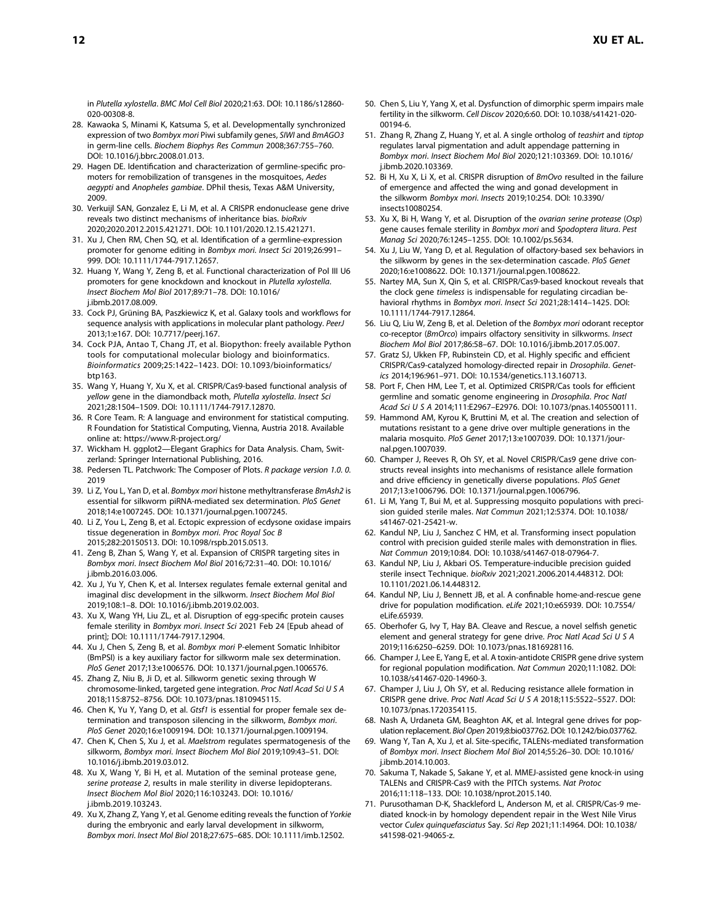in Plutella xylostella. BMC Mol Cell Biol 2020;21:63. DOI: 10.1186/s12860- 020-00308-8.

- 28. Kawaoka S, Minami K, Katsuma S, et al. Developmentally synchronized expression of two Bombyx mori Piwi subfamily genes, SIWI and BmAGO3 in germ-line cells. Biochem Biophys Res Commun 2008;367:755–760. DOI: 10.1016/j.bbrc.2008.01.013.
- 29. Hagen DE. Identification and characterization of germline-specific promoters for remobilization of transgenes in the mosquitoes, Aedes aegypti and Anopheles gambiae. DPhil thesis, Texas A&M University, 2009.
- 30. Verkuijl SAN, Gonzalez E, Li M, et al. A CRISPR endonuclease gene drive reveals two distinct mechanisms of inheritance bias. bioRxiv 2020;2020.2012.2015.421271. DOI: 10.1101/2020.12.15.421271.
- 31. Xu J, Chen RM, Chen SQ, et al. Identification of a germline-expression promoter for genome editing in Bombyx mori. Insect Sci 2019;26:991– 999. DOI: 10.1111/1744-7917.12657.
- 32. Huang Y, Wang Y, Zeng B, et al. Functional characterization of Pol III U6 promoters for gene knockdown and knockout in Plutella xylostella. Insect Biochem Mol Biol 2017;89:71–78. DOI: 10.1016/ j.ibmb.2017.08.009.
- 33. Cock PJ, Grüning BA, Paszkiewicz K, et al. Galaxy tools and workflows for sequence analysis with applications in molecular plant pathology. PeerJ 2013;1:e167. DOI: 10.7717/peerj.167.
- 34. Cock PJA, Antao T, Chang JT, et al. Biopython: freely available Python tools for computational molecular biology and bioinformatics. Bioinformatics 2009;25:1422–1423. DOI: 10.1093/bioinformatics/ btp163.
- 35. Wang Y, Huang Y, Xu X, et al. CRISPR/Cas9-based functional analysis of yellow gene in the diamondback moth, Plutella xylostella. Insect Sci 2021;28:1504–1509. DOI: 10.1111/1744-7917.12870.
- 36. R Core Team. R: A language and environment for statistical computing. R Foundation for Statistical Computing, Vienna, Austria 2018. Available online at:<https://www.R-project.org/>
- 37. Wickham H. ggplot2—Elegant Graphics for Data Analysis. Cham, Switzerland: Springer International Publishing, 2016.
- 38. Pedersen TL. Patchwork: The Composer of Plots. R package version 1.0. 0. 2019
- 39. Li Z, You L, Yan D, et al. Bombyx mori histone methyltransferase BmAsh2 is essential for silkworm piRNA-mediated sex determination. PloS Genet 2018;14:e1007245. DOI: 10.1371/journal.pgen.1007245.
- 40. Li Z, You L, Zeng B, et al. Ectopic expression of ecdysone oxidase impairs tissue degeneration in Bombyx mori. Proc Royal Soc B 2015;282:20150513. DOI: 10.1098/rspb.2015.0513.
- 41. Zeng B, Zhan S, Wang Y, et al. Expansion of CRISPR targeting sites in Bombyx mori. Insect Biochem Mol Biol 2016;72:31–40. DOI: 10.1016/ j.ibmb.2016.03.006.
- 42. Xu J, Yu Y, Chen K, et al. Intersex regulates female external genital and imaginal disc development in the silkworm. Insect Biochem Mol Biol 2019;108:1–8. DOI: 10.1016/j.ibmb.2019.02.003.
- 43. Xu X, Wang YH, Liu ZL, et al. Disruption of egg-specific protein causes female sterility in Bombyx mori. Insect Sci 2021 Feb 24 [Epub ahead of print]; DOI: 10.1111/1744-7917.12904.
- 44. Xu J, Chen S, Zeng B, et al. Bombyx mori P-element Somatic Inhibitor (BmPSI) is a key auxiliary factor for silkworm male sex determination. PloS Genet 2017;13:e1006576. DOI: 10.1371/journal.pgen.1006576.
- 45. Zhang Z, Niu B, Ji D, et al. Silkworm genetic sexing through W chromosome-linked, targeted gene integration. Proc Natl Acad Sci U S A 2018;115:8752–8756. DOI: 10.1073/pnas.1810945115.
- 46. Chen K, Yu Y, Yang D, et al. Gtsf1 is essential for proper female sex determination and transposon silencing in the silkworm, Bombyx mori. PloS Genet 2020;16:e1009194. DOI: 10.1371/journal.pgen.1009194.
- 47. Chen K, Chen S, Xu J, et al. Maelstrom regulates spermatogenesis of the silkworm, Bombyx mori. Insect Biochem Mol Biol 2019;109:43–51. DOI: 10.1016/j.ibmb.2019.03.012.
- 48. Xu X, Wang Y, Bi H, et al. Mutation of the seminal protease gene, serine protease 2, results in male sterility in diverse lepidopterans. Insect Biochem Mol Biol 2020;116:103243. DOI: 10.1016/ j.ibmb.2019.103243.
- 49. Xu X, Zhang Z, Yang Y, et al. Genome editing reveals the function of Yorkie during the embryonic and early larval development in silkworm, Bombyx mori. Insect Mol Biol 2018;27:675–685. DOI: 10.1111/imb.12502.
- 50. Chen S, Liu Y, Yang X, et al. Dysfunction of dimorphic sperm impairs male fertility in the silkworm. Cell Discov 2020;6:60. DOI: 10.1038/s41421-020- 00194-6.
- 51. Zhang R, Zhang Z, Huang Y, et al. A single ortholog of teashirt and tiptop regulates larval pigmentation and adult appendage patterning in Bombyx mori. Insect Biochem Mol Biol 2020;121:103369. DOI: 10.1016/ j.ibmb.2020.103369.
- 52. Bi H, Xu X, Li X, et al. CRISPR disruption of BmOvo resulted in the failure of emergence and affected the wing and gonad development in the silkworm Bombyx mori. Insects 2019;10:254. DOI: 10.3390/ insects10080254.
- 53. Xu X, Bi H, Wang Y, et al. Disruption of the ovarian serine protease (Osp) gene causes female sterility in Bombyx mori and Spodoptera litura. Pest Manag Sci 2020;76:1245–1255. DOI: 10.1002/ps.5634.
- 54. Xu J, Liu W, Yang D, et al. Regulation of olfactory-based sex behaviors in the silkworm by genes in the sex-determination cascade. PloS Genet 2020;16:e1008622. DOI: 10.1371/journal.pgen.1008622.
- 55. Nartey MA, Sun X, Qin S, et al. CRISPR/Cas9-based knockout reveals that the clock gene timeless is indispensable for regulating circadian behavioral rhythms in Bombyx mori. Insect Sci 2021;28:1414–1425. DOI: 10.1111/1744-7917.12864.
- 56. Liu Q, Liu W, Zeng B, et al. Deletion of the Bombyx mori odorant receptor co-receptor (BmOrco) impairs olfactory sensitivity in silkworms. Insect Biochem Mol Biol 2017;86:58–67. DOI: 10.1016/j.ibmb.2017.05.007.
- 57. Gratz SJ, Ukken FP, Rubinstein CD, et al. Highly specific and efficient CRISPR/Cas9-catalyzed homology-directed repair in Drosophila. Genetics 2014;196:961–971. DOI: 10.1534/genetics.113.160713.
- 58. Port F, Chen HM, Lee T, et al. Optimized CRISPR/Cas tools for efficient germline and somatic genome engineering in Drosophila. Proc Natl Acad Sci U S A 2014;111:E2967–E2976. DOI: 10.1073/pnas.1405500111.
- 59. Hammond AM, Kyrou K, Bruttini M, et al. The creation and selection of mutations resistant to a gene drive over multiple generations in the malaria mosquito. PloS Genet 2017;13:e1007039. DOI: 10.1371/journal.pgen.1007039.
- 60. Champer J, Reeves R, Oh SY, et al. Novel CRISPR/Cas9 gene drive constructs reveal insights into mechanisms of resistance allele formation and drive efficiency in genetically diverse populations. PloS Genet 2017;13:e1006796. DOI: 10.1371/journal.pgen.1006796.
- 61. Li M, Yang T, Bui M, et al. Suppressing mosquito populations with precision guided sterile males. Nat Commun 2021;12:5374. DOI: 10.1038/ s41467-021-25421-w.
- 62. Kandul NP, Liu J, Sanchez C HM, et al. Transforming insect population control with precision guided sterile males with demonstration in flies. Nat Commun 2019;10:84. DOI: 10.1038/s41467-018-07964-7.
- 63. Kandul NP, Liu J, Akbari OS. Temperature-inducible precision guided sterile insect Technique. bioRxiv 2021;2021.2006.2014.448312. DOI: 10.1101/2021.06.14.448312.
- 64. Kandul NP, Liu J, Bennett JB, et al. A confinable home-and-rescue gene drive for population modification. eLife 2021;10:e65939. DOI: 10.7554/ eLife.65939.
- 65. Oberhofer G, Ivy T, Hay BA. Cleave and Rescue, a novel selfish genetic element and general strategy for gene drive. Proc Natl Acad Sci U S A 2019;116:6250–6259. DOI: 10.1073/pnas.1816928116.
- 66. Champer J, Lee E, Yang E, et al. A toxin-antidote CRISPR gene drive system for regional population modification. Nat Commun 2020;11:1082. DOI: 10.1038/s41467-020-14960-3.
- 67. Champer J, Liu J, Oh SY, et al. Reducing resistance allele formation in CRISPR gene drive. Proc Natl Acad Sci U S A 2018;115:5522–5527. DOI: 10.1073/pnas.1720354115.
- 68. Nash A, Urdaneta GM, Beaghton AK, et al. Integral gene drives for population replacement. Biol Open 2019;8:bio037762. DOI: 10.1242/bio.037762.
- 69. Wang Y, Tan A, Xu J, et al. Site-specific, TALENs-mediated transformation of Bombyx mori. Insect Biochem Mol Biol 2014;55:26–30. DOI: 10.1016/ j.ibmb.2014.10.003.
- 70. Sakuma T, Nakade S, Sakane Y, et al. MMEJ-assisted gene knock-in using TALENs and CRISPR-Cas9 with the PITCh systems. Nat Protoc 2016;11:118–133. DOI: 10.1038/nprot.2015.140.
- 71. Purusothaman D-K, Shackleford L, Anderson M, et al. CRISPR/Cas-9 mediated knock-in by homology dependent repair in the West Nile Virus vector Culex quinquefasciatus Say. Sci Rep 2021;11:14964. DOI: 10.1038/ s41598-021-94065-z.